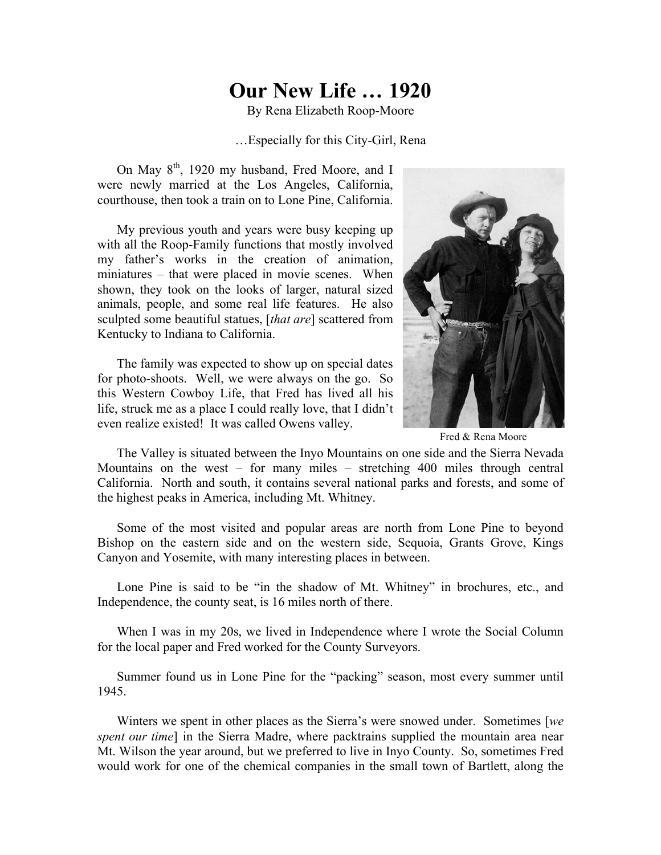## **Our New Life … 1920**

By Rena Elizabeth Roop-Moore

## …Especially for this City-Girl, Rena

On May 8<sup>th</sup>, 1920 my husband, Fred Moore, and I were newly married at the Los Angeles, California, courthouse, then took a train on to Lone Pine, California.

My previous youth and years were busy keeping up with all the Roop-Family functions that mostly involved my father's works in the creation of animation, miniatures – that were placed in movie scenes. When shown, they took on the looks of larger, natural sized animals, people, and some real life features. He also sculpted some beautiful statues, [*that are*] scattered from Kentucky to Indiana to California.

The family was expected to show up on special dates for photo-shoots. Well, we were always on the go. So this Western Cowboy Life, that Fred has lived all his life, struck me as a place I could really love, that I didn't even realize existed! It was called Owens valley.



Fred & Rena Moore

The Valley is situated between the Inyo Mountains on one side and the Sierra Nevada Mountains on the west – for many miles – stretching 400 miles through central California. North and south, it contains several national parks and forests, and some of the highest peaks in America, including Mt. Whitney.

Some of the most visited and popular areas are north from Lone Pine to beyond Bishop on the eastern side and on the western side, Sequoia, Grants Grove, Kings Canyon and Yosemite, with many interesting places in between.

Lone Pine is said to be "in the shadow of Mt. Whitney" in brochures, etc., and Independence, the county seat, is 16 miles north of there.

When I was in my 20s, we lived in Independence where I wrote the Social Column for the local paper and Fred worked for the County Surveyors.

Summer found us in Lone Pine for the "packing" season, most every summer until 1945.

Winters we spent in other places as the Sierra's were snowed under. Sometimes [*we spent our time*] in the Sierra Madre, where packtrains supplied the mountain area near Mt. Wilson the year around, but we preferred to live in Inyo County. So, sometimes Fred would work for one of the chemical companies in the small town of Bartlett, along the